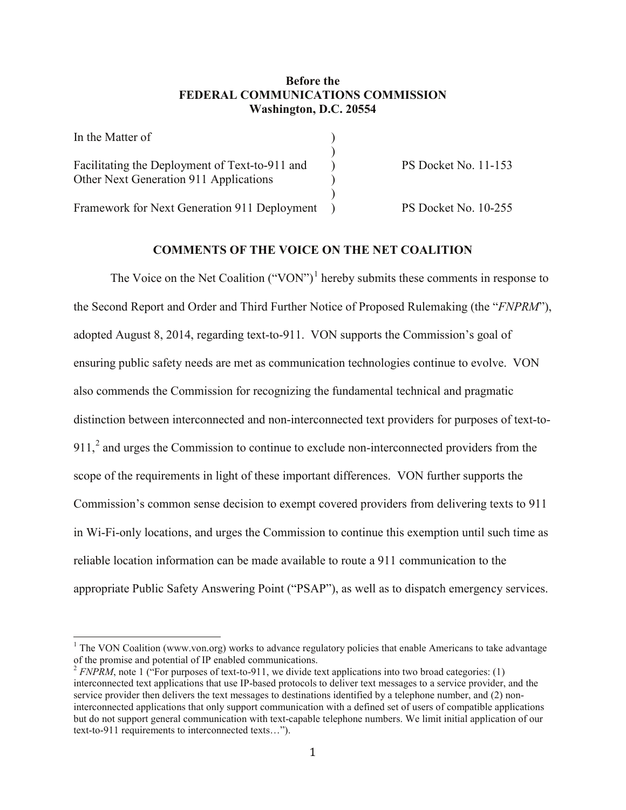# **Before the FEDERAL COMMUNICATIONS COMMISSION Washington, D.C. 20554**

| In the Matter of                               |                      |
|------------------------------------------------|----------------------|
|                                                |                      |
| Facilitating the Deployment of Text-to-911 and | PS Docket No. 11-153 |
| Other Next Generation 911 Applications         |                      |
|                                                |                      |
| Framework for Next Generation 911 Deployment   | PS Docket No. 10-255 |

# **COMMENTS OF THE VOICE ON THE NET COALITION**

The Voice on the Net Coalition  $("VON")^1$  $("VON")^1$  hereby submits these comments in response to the Second Report and Order and Third Further Notice of Proposed Rulemaking (the "*FNPRM*"), adopted August 8, 2014, regarding text-to-911. VON supports the Commission's goal of ensuring public safety needs are met as communication technologies continue to evolve. VON also commends the Commission for recognizing the fundamental technical and pragmatic distinction between interconnected and non-interconnected text providers for purposes of text-to-911, $^2$  $^2$  and urges the Commission to continue to exclude non-interconnected providers from the scope of the requirements in light of these important differences. VON further supports the Commission's common sense decision to exempt covered providers from delivering texts to 911 in Wi-Fi-only locations, and urges the Commission to continue this exemption until such time as reliable location information can be made available to route a 911 communication to the appropriate Public Safety Answering Point ("PSAP"), as well as to dispatch emergency services.

<span id="page-0-0"></span><sup>&</sup>lt;sup>1</sup> The VON Coalition (www.von.org) works to advance regulatory policies that enable Americans to take advantage of the promise and potential of IP enabled communications.

<span id="page-0-1"></span><sup>&</sup>lt;sup>2</sup> *FNPRM*, note 1 ("For purposes of text-to-911, we divide text applications into two broad categories: (1) interconnected text applications that use IP-based protocols to deliver text messages to a service provider, and the service provider then delivers the text messages to destinations identified by a telephone number, and (2) noninterconnected applications that only support communication with a defined set of users of compatible applications but do not support general communication with text-capable telephone numbers. We limit initial application of our text-to-911 requirements to interconnected texts…").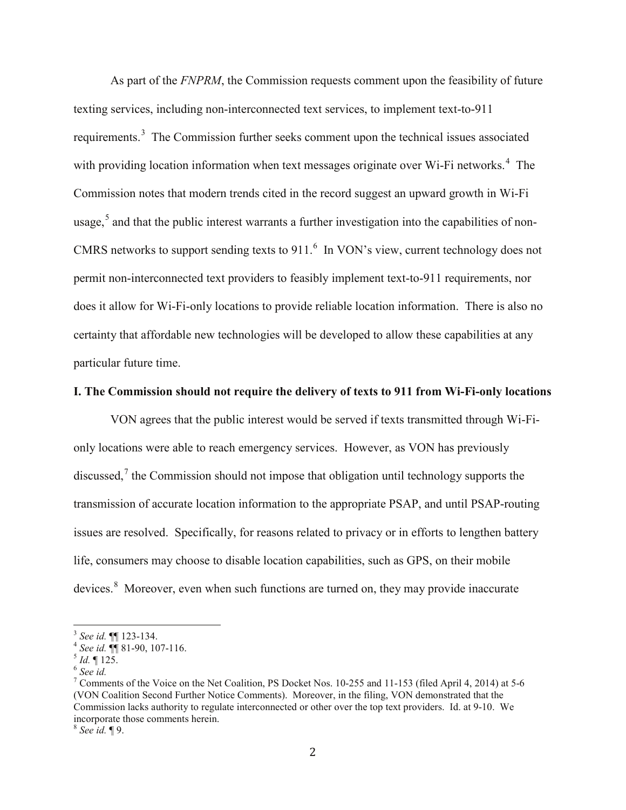As part of the *FNPRM*, the Commission requests comment upon the feasibility of future texting services, including non-interconnected text services, to implement text-to-911 requirements.<sup>[3](#page-1-0)</sup> The Commission further seeks comment upon the technical issues associated with providing location information when text messages originate over Wi-Fi networks.<sup>[4](#page-1-1)</sup> The Commission notes that modern trends cited in the record suggest an upward growth in Wi-Fi usage, $5$  and that the public interest warrants a further investigation into the capabilities of non-CMRS networks to support sending texts to  $911<sup>6</sup>$  $911<sup>6</sup>$  $911<sup>6</sup>$  In VON's view, current technology does not permit non-interconnected text providers to feasibly implement text-to-911 requirements, nor does it allow for Wi-Fi-only locations to provide reliable location information. There is also no certainty that affordable new technologies will be developed to allow these capabilities at any particular future time.

### **I. The Commission should not require the delivery of texts to 911 from Wi-Fi-only locations**

VON agrees that the public interest would be served if texts transmitted through Wi-Fionly locations were able to reach emergency services. However, as VON has previously discussed, $\frac{7}{1}$  $\frac{7}{1}$  $\frac{7}{1}$  the Commission should not impose that obligation until technology supports the transmission of accurate location information to the appropriate PSAP, and until PSAP-routing issues are resolved. Specifically, for reasons related to privacy or in efforts to lengthen battery life, consumers may choose to disable location capabilities, such as GPS, on their mobile devices.<sup>[8](#page-1-5)</sup> Moreover, even when such functions are turned on, they may provide inaccurate

<span id="page-1-1"></span>

<span id="page-1-2"></span>

<span id="page-1-4"></span><span id="page-1-3"></span>

<span id="page-1-0"></span><sup>&</sup>lt;sup>3</sup> *See id.* ¶[ 123-134.<br>
<sup>4</sup> *See id.* ¶[ 81-90, 107-116.<br>
<sup>5</sup> *Id.* ¶ 125.<br>
<sup>6</sup> *See id.*<br>
<sup>7</sup> Comments of the Voice on the Net Coalition, PS Docket Nos. 10-255 and 11-153 (filed April 4, 2014) at 5-6 (VON Coalition Second Further Notice Comments). Moreover, in the filing, VON demonstrated that the Commission lacks authority to regulate interconnected or other over the top text providers. Id. at 9-10. We incorporate those comments herein.

<span id="page-1-5"></span><sup>8</sup> *See id.* ¶ 9.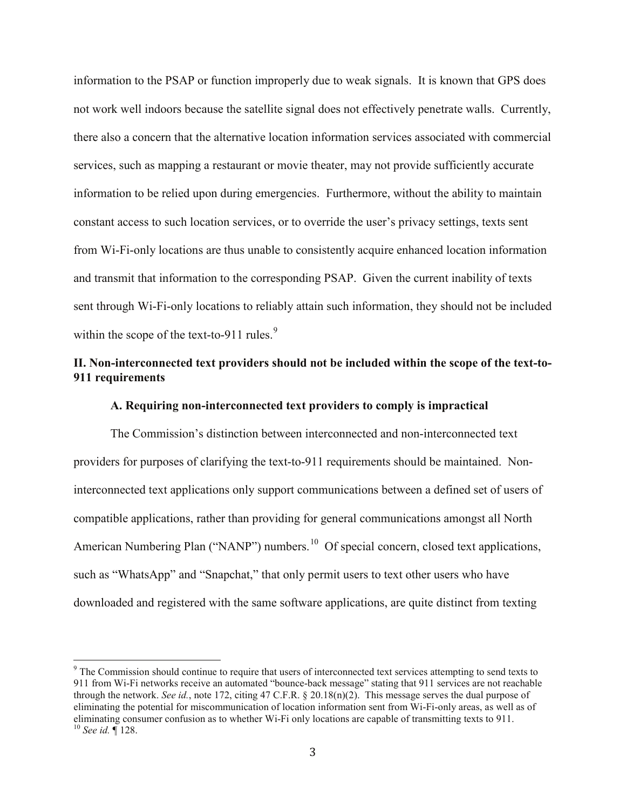information to the PSAP or function improperly due to weak signals. It is known that GPS does not work well indoors because the satellite signal does not effectively penetrate walls. Currently, there also a concern that the alternative location information services associated with commercial services, such as mapping a restaurant or movie theater, may not provide sufficiently accurate information to be relied upon during emergencies. Furthermore, without the ability to maintain constant access to such location services, or to override the user's privacy settings, texts sent from Wi-Fi-only locations are thus unable to consistently acquire enhanced location information and transmit that information to the corresponding PSAP. Given the current inability of texts sent through Wi-Fi-only locations to reliably attain such information, they should not be included within the scope of the text-to-[9](#page-2-0)11 rules. $9$ 

# **II. Non-interconnected text providers should not be included within the scope of the text-to-911 requirements**

#### **A. Requiring non-interconnected text providers to comply is impractical**

The Commission's distinction between interconnected and non-interconnected text providers for purposes of clarifying the text-to-911 requirements should be maintained. Noninterconnected text applications only support communications between a defined set of users of compatible applications, rather than providing for general communications amongst all North American Numbering Plan ("NANP") numbers.<sup>10</sup> Of special concern, closed text applications, such as "WhatsApp" and "Snapchat," that only permit users to text other users who have downloaded and registered with the same software applications, are quite distinct from texting

<span id="page-2-1"></span><span id="page-2-0"></span><sup>&</sup>lt;sup>9</sup> The Commission should continue to require that users of interconnected text services attempting to send texts to 911 from Wi-Fi networks receive an automated "bounce-back message" stating that 911 services are not reachable through the network. *See id.*, note 172, citing 47 C.F.R. § 20.18(n)(2). This message serves the dual purpose of eliminating the potential for miscommunication of location information sent from Wi-Fi-only areas, as well as of eliminating consumer confusion as to whether Wi-Fi only locations are capable of transmitting texts to 911. <sup>10</sup> *See id.* ¶ 128.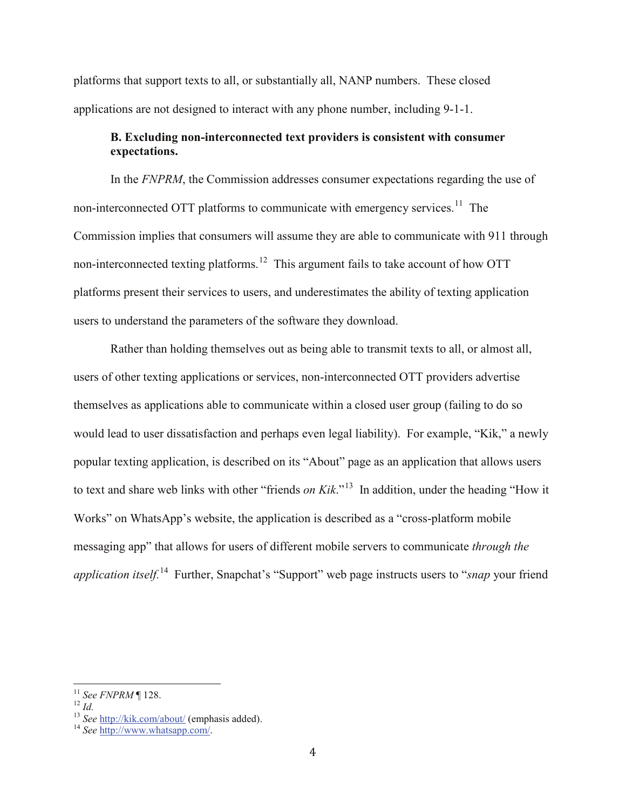platforms that support texts to all, or substantially all, NANP numbers. These closed applications are not designed to interact with any phone number, including 9-1-1.

# **B. Excluding non-interconnected text providers is consistent with consumer expectations.**

In the *FNPRM*, the Commission addresses consumer expectations regarding the use of non-interconnected OTT platforms to communicate with emergency services.<sup>[11](#page-3-0)</sup> The Commission implies that consumers will assume they are able to communicate with 911 through non-interconnected texting platforms.<sup>12</sup> This argument fails to take account of how OTT platforms present their services to users, and underestimates the ability of texting application users to understand the parameters of the software they download.

Rather than holding themselves out as being able to transmit texts to all, or almost all, users of other texting applications or services, non-interconnected OTT providers advertise themselves as applications able to communicate within a closed user group (failing to do so would lead to user dissatisfaction and perhaps even legal liability). For example, "Kik," a newly popular texting application, is described on its "About" page as an application that allows users to text and share web links with other "friends *on Kik*."[13](#page-3-2) In addition, under the heading "How it Works" on WhatsApp's website, the application is described as a "cross-platform mobile messaging app" that allows for users of different mobile servers to communicate *through the application itself.*[14](#page-3-3) Further, Snapchat's "Support" web page instructs users to "*snap* your friend

<span id="page-3-2"></span>

<span id="page-3-1"></span><span id="page-3-0"></span><sup>&</sup>lt;sup>11</sup> *See FNPRM* | 128.<br><sup>12</sup> *Id.* 13 *See* <http://kik.com/about/> (emphasis added). <sup>14</sup> *See* [http://www.whatsapp.com/.](http://www.whatsapp.com/)

<span id="page-3-3"></span>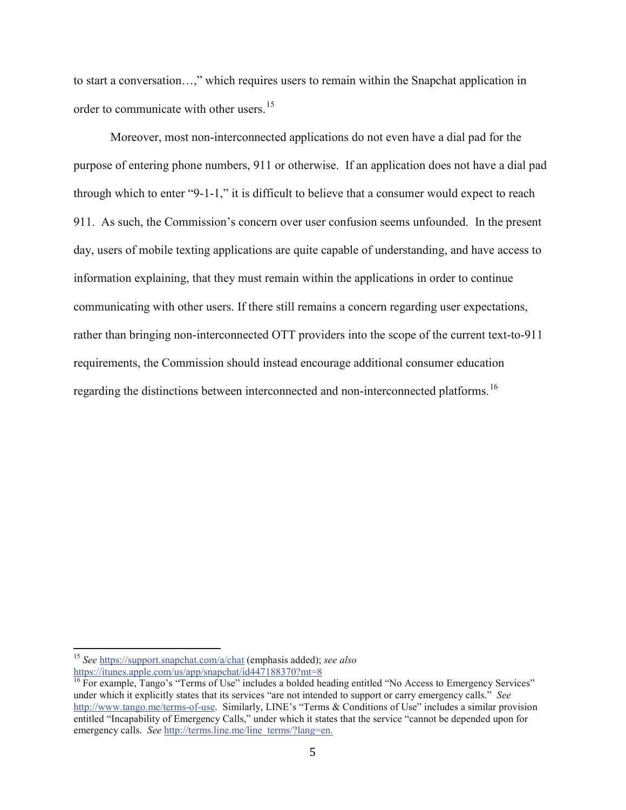to start a conversation…," which requires users to remain within the Snapchat application in order to communicate with other users.<sup>15</sup>

Moreover, most non-interconnected applications do not even have a dial pad for the purpose of entering phone numbers, 911 or otherwise. If an application does not have a dial pad through which to enter "9-1-1," it is difficult to believe that a consumer would expect to reach 911. As such, the Commission's concern over user confusion seems unfounded. In the present day, users of mobile texting applications are quite capable of understanding, and have access to information explaining, that they must remain within the applications in order to continue communicating with other users. If there still remains a concern regarding user expectations, rather than bringing non-interconnected OTT providers into the scope of the current text-to-911 requirements, the Commission should instead encourage additional consumer education regarding the distinctions between interconnected and non-interconnected platforms.<sup>[16](#page-4-1)</sup>

<span id="page-4-0"></span><sup>15</sup> *See* <https://support.snapchat.com/a/chat> (emphasis added); *see also* 

<https://itunes.apple.com/us/app/snapchat/id447188370?mt=8>

<span id="page-4-1"></span><sup>&</sup>lt;sup>16</sup> For example, Tango's "Terms of Use" includes a bolded heading entitled "No Access to Emergency Services" under which it explicitly states that its services "are not intended to support or carry emergency calls." *See* [http://www.tango.me/terms-of-use.](http://www.tango.me/terms-of-use) Similarly, LINE's "Terms & Conditions of Use" includes a similar provision entitled "Incapability of Emergency Calls," under which it states that the service "cannot be depended upon for emergency calls. *See* [http://terms.line.me/line\\_terms/?lang=en.](http://terms.line.me/line_terms/?lang=en)